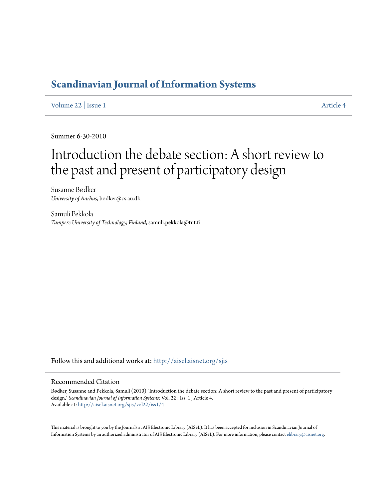### **[Scandinavian Journal of Information Systems](http://aisel.aisnet.org/sjis?utm_source=aisel.aisnet.org%2Fsjis%2Fvol22%2Fiss1%2F4&utm_medium=PDF&utm_campaign=PDFCoverPages)**

[Volume 22](http://aisel.aisnet.org/sjis/vol22?utm_source=aisel.aisnet.org%2Fsjis%2Fvol22%2Fiss1%2F4&utm_medium=PDF&utm_campaign=PDFCoverPages) | [Issue 1](http://aisel.aisnet.org/sjis/vol22/iss1?utm_source=aisel.aisnet.org%2Fsjis%2Fvol22%2Fiss1%2F4&utm_medium=PDF&utm_campaign=PDFCoverPages) [Article 4](http://aisel.aisnet.org/sjis/vol22/iss1/4?utm_source=aisel.aisnet.org%2Fsjis%2Fvol22%2Fiss1%2F4&utm_medium=PDF&utm_campaign=PDFCoverPages)

Summer 6-30-2010

# Introduction the debate section: A short review to the past and present of participatory design

Susanne Bødker *University of Aarhus*, bodker@cs.au.dk

Samuli Pekkola *Tampere University of Technology, Finland*, samuli.pekkola@tut.fi

Follow this and additional works at: [http://aisel.aisnet.org/sjis](http://aisel.aisnet.org/sjis?utm_source=aisel.aisnet.org%2Fsjis%2Fvol22%2Fiss1%2F4&utm_medium=PDF&utm_campaign=PDFCoverPages)

#### Recommended Citation

Bødker, Susanne and Pekkola, Samuli (2010) "Introduction the debate section: A short review to the past and present of participatory design," *Scandinavian Journal of Information Systems*: Vol. 22 : Iss. 1 , Article 4. Available at: [http://aisel.aisnet.org/sjis/vol22/iss1/4](http://aisel.aisnet.org/sjis/vol22/iss1/4?utm_source=aisel.aisnet.org%2Fsjis%2Fvol22%2Fiss1%2F4&utm_medium=PDF&utm_campaign=PDFCoverPages)

This material is brought to you by the Journals at AIS Electronic Library (AISeL). It has been accepted for inclusion in Scandinavian Journal of Information Systems by an authorized administrator of AIS Electronic Library (AISeL). For more information, please contact [elibrary@aisnet.org.](mailto:elibrary@aisnet.org%3E)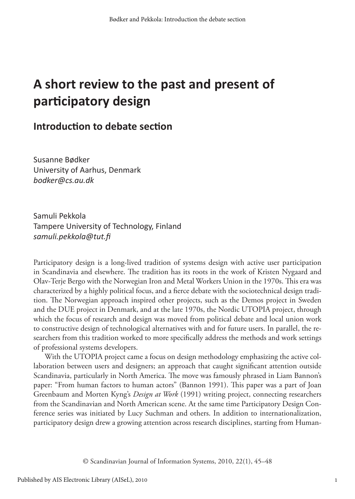## **A short review to the past and present of participatory design**

#### **Introduction to debate section**

Susanne Bødker University of Aarhus, Denmark *bodker@cs.au.dk*

Samuli Pekkola Tampere University of Technology, Finland *samuli.pekkola@tut.fi*

Participatory design is a long-lived tradition of systems design with active user participation in Scandinavia and elsewhere. The tradition has its roots in the work of Kristen Nygaard and Olav-Terje Bergo with the Norwegian Iron and Metal Workers Union in the 1970s. This era was characterized by a highly political focus, and a fierce debate with the sociotechnical design tradition. The Norwegian approach inspired other projects, such as the Demos project in Sweden and the DUE project in Denmark, and at the late 1970s, the Nordic UTOPIA project, through which the focus of research and design was moved from political debate and local union work to constructive design of technological alternatives with and for future users. In parallel, the researchers from this tradition worked to more specifically address the methods and work settings of professional systems developers.

With the UTOPIA project came a focus on design methodology emphasizing the active collaboration between users and designers; an approach that caught significant attention outside Scandinavia, particularly in North America. The move was famously phrased in Liam Bannon's paper: "From human factors to human actors" (Bannon 1991). This paper was a part of Joan Greenbaum and Morten Kyng's *Design at Work* (1991) writing project, connecting researchers from the Scandinavian and North American scene. At the same time Participatory Design Conference series was initiated by Lucy Suchman and others. In addition to internationalization, participatory design drew a growing attention across research disciplines, starting from Human-

© Scandinavian Journal of Information Systems, 2010, 22(1), 45–48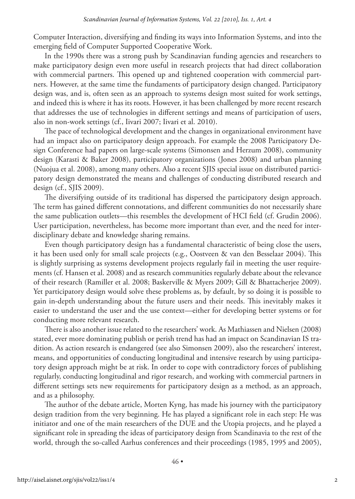Computer Interaction, diversifying and finding its ways into Information Systems, and into the emerging field of Computer Supported Cooperative Work.

In the 1990s there was a strong push by Scandinavian funding agencies and researchers to make participatory design even more useful in research projects that had direct collaboration with commercial partners. This opened up and tightened cooperation with commercial partners. However, at the same time the fundaments of participatory design changed. Participatory design was, and is, often seen as an approach to systems design most suited for work settings, and indeed this is where it has its roots. However, it has been challenged by more recent research that addresses the use of technologies in different settings and means of participation of users, also in non-work settings (cf., Iivari 2007; Iivari et al. 2010).

The pace of technological development and the changes in organizational environment have had an impact also on participatory design approach. For example the 2008 Participatory Design Conference had papers on large-scale systems (Simonsen and Herzum 2008), community design (Karasti & Baker 2008), participatory organizations (Jones 2008) and urban planning (Nuojua et al. 2008), among many others. Also a recent SJIS special issue on distributed participatory design demonstrated the means and challenges of conducting distributed research and design (cf., SJIS 2009).

The diversifying outside of its traditional has dispersed the participatory design approach. The term has gained different connotations, and different communities do not necessarily share the same publication outlets—this resembles the development of HCI field (cf. Grudin 2006). User participation, nevertheless, has become more important than ever, and the need for interdisciplinary debate and knowledge sharing remains.

Even though participatory design has a fundamental characteristic of being close the users, it has been used only for small scale projects (e.g., Oostveen & van den Besselaar 2004). This is slightly surprising as systems development projects regularly fail in meeting the user requirements (cf. Hansen et al. 2008) and as research communities regularly debate about the relevance of their research (Ramiller et al. 2008; Baskerville & Myers 2009; Gill & Bhattacherjee 2009). Yet participatory design would solve these problems as, by default, by so doing it is possible to gain in-depth understanding about the future users and their needs. This inevitably makes it easier to understand the user and the use context—either for developing better systems or for conducting more relevant research.

There is also another issue related to the researchers' work. As Mathiassen and Nielsen (2008) stated, ever more dominating publish or perish trend has had an impact on Scandinavian IS tradition. As action research is endangered (see also Simonsen 2009), also the researchers' interest, means, and opportunities of conducting longitudinal and intensive research by using participatory design approach might be at risk. In order to cope with contradictory forces of publishing regularly, conducting longitudinal and rigor research, and working with commercial partners in different settings sets new requirements for participatory design as a method, as an approach, and as a philosophy.

The author of the debate article, Morten Kyng, has made his journey with the participatory design tradition from the very beginning. He has played a significant role in each step: He was initiator and one of the main researchers of the DUE and the Utopia projects, and he played a significant role in spreading the ideas of participatory design from Scandinavia to the rest of the world, through the so-called Aarhus conferences and their proceedings (1985, 1995 and 2005),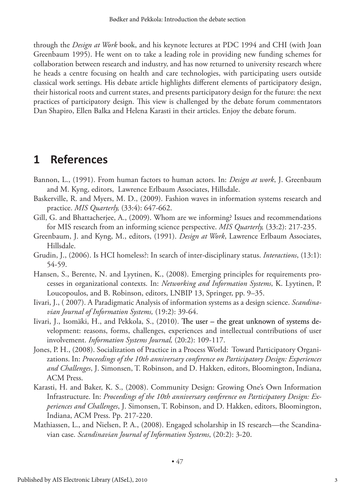through the *Design at Work* book, and his keynote lectures at PDC 1994 and CHI (with Joan Greenbaum 1995). He went on to take a leading role in providing new funding schemes for collaboration between research and industry, and has now returned to university research where he heads a centre focusing on health and care technologies, with participating users outside classical work settings. His debate article highlights different elements of participatory design, their historical roots and current states, and presents participatory design for the future: the next practices of participatory design. This view is challenged by the debate forum commentators Dan Shapiro, Ellen Balka and Helena Karasti in their articles. Enjoy the debate forum.

### **1 References**

- Bannon, L., (1991). From human factors to human actors. In: *Design at work*, J. Greenbaum and M. Kyng, editors, Lawrence Erlbaum Associates, Hillsdale.
- Baskerville, R. and Myers, M. D., (2009). Fashion waves in information systems research and practice. *MIS Quarterly,* (33:4): 647-662.
- Gill, G. and Bhattacherjee, A., (2009). Whom are we informing? Issues and recommendations for MIS research from an informing science perspective. *MIS Quarterly,* (33:2): 217-235.
- Greenbaum, J. and Kyng, M., editors, (1991). *Design at Work*, Lawrence Erlbaum Associates, Hillsdale.
- Grudin, J., (2006). Is HCI homeless?: In search of inter-disciplinary status. *Interactions*, (13:1): 54-59.
- Hansen, S., Berente, N. and Lyytinen, K., (2008). Emerging principles for requirements processes in organizational contexts. In: *Networking and Information Systems*, K. Lyytinen, P. Loucopoulos, and B. Robinson, editors, LNBIP 13, Springer, pp. 9–35.
- Iivari, J., ( 2007). A Paradigmatic Analysis of information systems as a design science. *Scandinavian Journal of Information Systems,* (19:2): 39-64.
- Iivari, J., Isomäki, H., and Pekkola, S., (2010). The user the great unknown of systems development: reasons, forms, challenges, experiences and intellectual contributions of user involvement. *Information Systems Journal,* (20:2): 109-117.
- Jones, P. H., (2008). Socialization of Practice in a Process World: Toward Participatory Organizations. In: *Proceedings of the 10th anniversary conference on Participatory Design: Experiences and Challenges*, J. Simonsen, T. Robinson, and D. Hakken, editors, Bloomington, Indiana, ACM Press.
- Karasti, H. and Baker, K. S., (2008). Community Design: Growing One's Own Information Infrastructure. In: *Proceedings of the 10th anniversary conference on Participatory Design: Experiences and Challenges*, J. Simonsen, T. Robinson, and D. Hakken, editors, Bloomington, Indiana, ACM Press. Pp. 217-220.
- Mathiassen, L., and Nielsen, P. A., (2008). Engaged scholarship in IS research—the Scandinavian case. *Scandinavian Journal of Information Systems*, (20:2): 3-20.